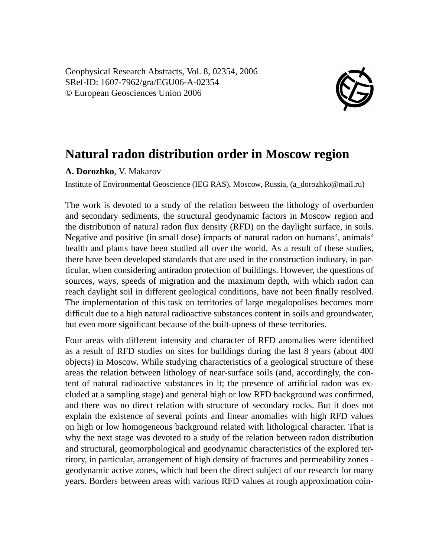Geophysical Research Abstracts, Vol. 8, 02354, 2006 SRef-ID: 1607-7962/gra/EGU06-A-02354 © European Geosciences Union 2006



## **Natural radon distribution order in Moscow region**

## **A. Dorozhko**, V. Makarov

Institute of Environmental Geoscience (IEG RAS), Moscow, Russia, (a\_dorozhko@mail.ru)

The work is devoted to a study of the relation between the lithology of overburden and secondary sediments, the structural geodynamic factors in Moscow region and the distribution of natural radon flux density (RFD) on the daylight surface, in soils. Negative and positive (in small dose) impacts of natural radon on humans', animals' health and plants have been studied all over the world. As a result of these studies, there have been developed standards that are used in the construction industry, in particular, when considering antiradon protection of buildings. However, the questions of sources, ways, speeds of migration and the maximum depth, with which radon can reach daylight soil in different geological conditions, have not been finally resolved. The implementation of this task on territories of large megalopolises becomes more difficult due to a high natural radioactive substances content in soils and groundwater, but even more significant because of the built-upness of these territories.

Four areas with different intensity and character of RFD anomalies were identified as a result of RFD studies on sites for buildings during the last 8 years (about 400 objects) in Moscow. While studying characteristics of a geological structure of these areas the relation between lithology of near-surface soils (and, accordingly, the content of natural radioactive substances in it; the presence of artificial radon was excluded at a sampling stage) and general high or low RFD background was confirmed, and there was no direct relation with structure of secondary rocks. But it does not explain the existence of several points and linear anomalies with high RFD values on high or low homogeneous background related with lithological character. That is why the next stage was devoted to a study of the relation between radon distribution and structural, geomorphological and geodynamic characteristics of the explored territory, in particular, arrangement of high density of fractures and permeability zones geodynamic active zones, which had been the direct subject of our research for many years. Borders between areas with various RFD values at rough approximation coin